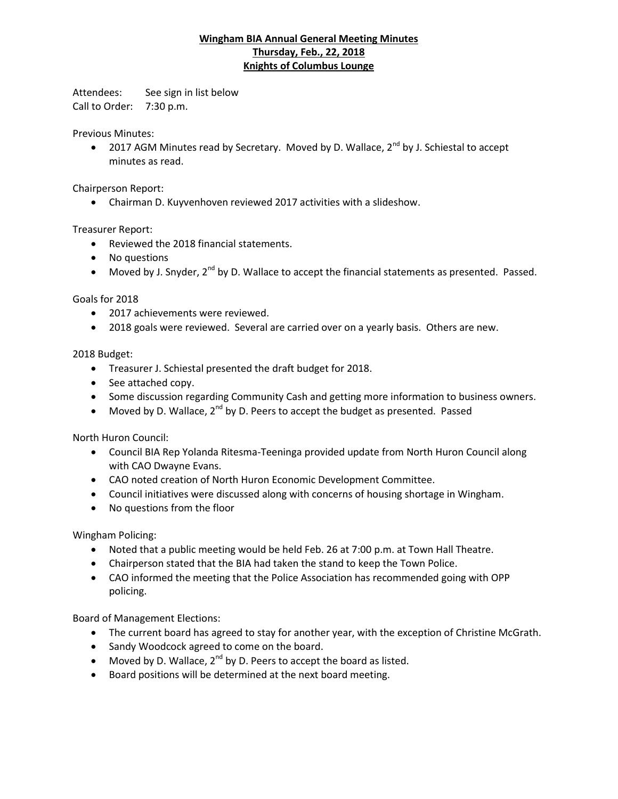## **Wingham BIA Annual General Meeting Minutes Thursday, Feb., 22, 2018 Knights of Columbus Lounge**

Attendees: See sign in list below Call to Order: 7:30 p.m.

Previous Minutes:

• 2017 AGM Minutes read by Secretary. Moved by D. Wallace,  $2^{nd}$  by J. Schiestal to accept minutes as read.

Chairperson Report:

Chairman D. Kuyvenhoven reviewed 2017 activities with a slideshow.

Treasurer Report:

- Reviewed the 2018 financial statements.
- No questions
- $\bullet$  Moved by J. Snyder, 2<sup>nd</sup> by D. Wallace to accept the financial statements as presented. Passed.

Goals for 2018

- 2017 achievements were reviewed.
- 2018 goals were reviewed. Several are carried over on a yearly basis. Others are new.

2018 Budget:

- Treasurer J. Schiestal presented the draft budget for 2018.
- See attached copy.
- Some discussion regarding Community Cash and getting more information to business owners.
- Moved by D. Wallace,  $2^{nd}$  by D. Peers to accept the budget as presented. Passed

North Huron Council:

- Council BIA Rep Yolanda Ritesma-Teeninga provided update from North Huron Council along with CAO Dwayne Evans.
- CAO noted creation of North Huron Economic Development Committee.
- Council initiatives were discussed along with concerns of housing shortage in Wingham.
- No questions from the floor

Wingham Policing:

- Noted that a public meeting would be held Feb. 26 at 7:00 p.m. at Town Hall Theatre.
- Chairperson stated that the BIA had taken the stand to keep the Town Police.
- CAO informed the meeting that the Police Association has recommended going with OPP policing.

Board of Management Elections:

- The current board has agreed to stay for another year, with the exception of Christine McGrath.
- Sandy Woodcock agreed to come on the board.
- $\bullet$  Moved by D. Wallace, 2<sup>nd</sup> by D. Peers to accept the board as listed.
- Board positions will be determined at the next board meeting.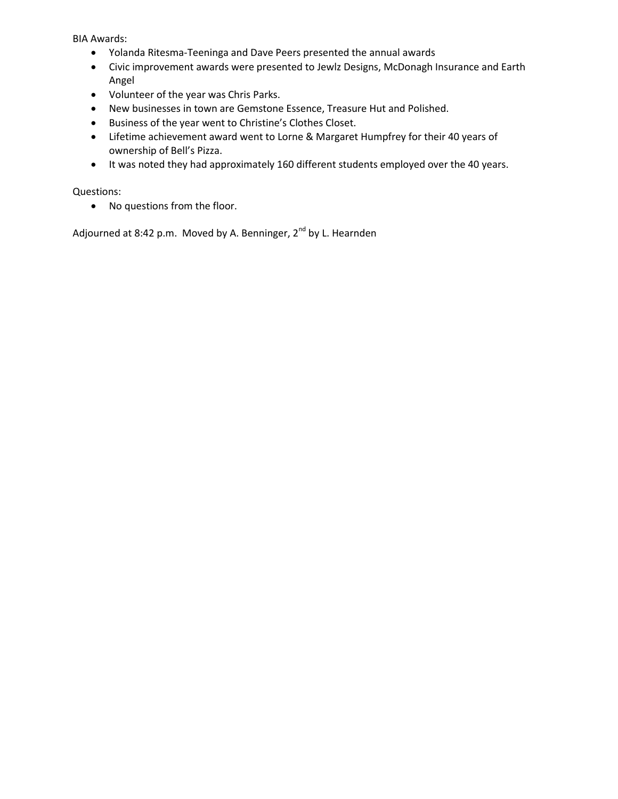BIA Awards:

- Yolanda Ritesma-Teeninga and Dave Peers presented the annual awards
- Civic improvement awards were presented to Jewlz Designs, McDonagh Insurance and Earth Angel
- Volunteer of the year was Chris Parks.
- New businesses in town are Gemstone Essence, Treasure Hut and Polished.
- Business of the year went to Christine's Clothes Closet.
- Lifetime achievement award went to Lorne & Margaret Humpfrey for their 40 years of ownership of Bell's Pizza.
- It was noted they had approximately 160 different students employed over the 40 years.

Questions:

No questions from the floor.

Adjourned at 8:42 p.m. Moved by A. Benninger, 2<sup>nd</sup> by L. Hearnden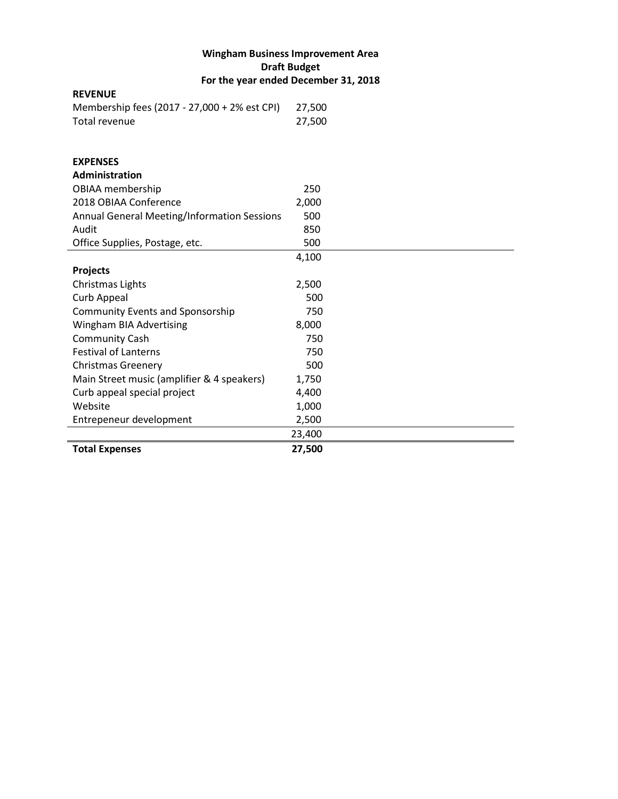## **Wingham Business Improvement Area Draft Budget For the year ended December 31, 2018**

| <b>REVENUE</b>                               |        |
|----------------------------------------------|--------|
| Membership fees (2017 - 27,000 + 2% est CPI) | 27,500 |
| <b>Total revenue</b>                         | 27,500 |
|                                              |        |
|                                              |        |
| <b>EXPENSES</b>                              |        |
| Administration                               |        |
| OBIAA membership                             | 250    |
| 2018 OBIAA Conference                        | 2,000  |
| Annual General Meeting/Information Sessions  | 500    |
| Audit                                        | 850    |
| Office Supplies, Postage, etc.               | 500    |
|                                              | 4,100  |
| <b>Projects</b>                              |        |
| Christmas Lights                             | 2,500  |
| Curb Appeal                                  | 500    |
| <b>Community Events and Sponsorship</b>      | 750    |
| <b>Wingham BIA Advertising</b>               | 8,000  |
| <b>Community Cash</b>                        | 750    |
| <b>Festival of Lanterns</b>                  | 750    |
| <b>Christmas Greenery</b>                    | 500    |
| Main Street music (amplifier & 4 speakers)   | 1,750  |
| Curb appeal special project                  | 4,400  |
| Website                                      | 1,000  |
| Entrepeneur development                      | 2,500  |
|                                              | 23,400 |
| <b>Total Expenses</b>                        | 27,500 |